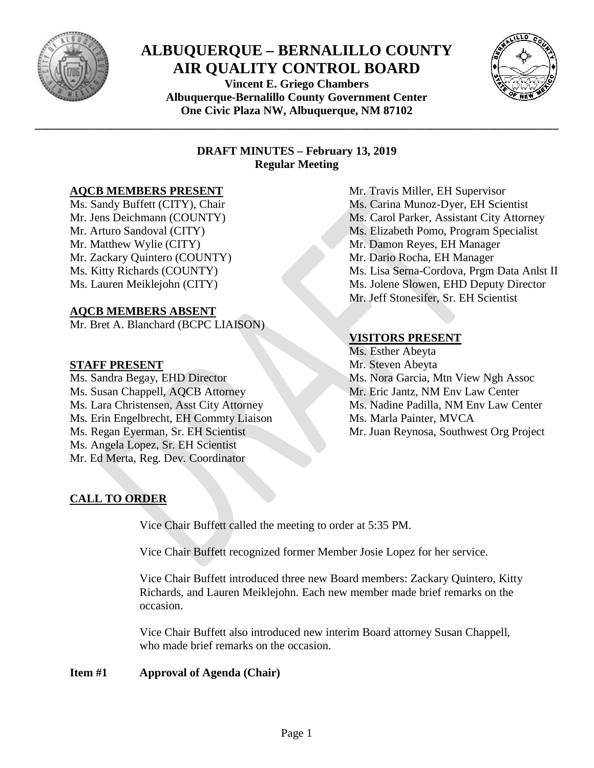

# **ALBUQUERQUE – BERNALILLO COUNTY AIR QUALITY CONTROL BOARD**

**Vincent E. Griego Chambers Albuquerque-Bernalillo County Government Center One Civic Plaza NW, Albuquerque, NM 87102**

**\_\_\_\_\_\_\_\_\_\_\_\_\_\_\_\_\_\_\_\_\_\_\_\_\_\_\_\_\_\_\_\_\_\_\_\_\_\_\_\_\_\_\_\_\_\_\_\_\_\_\_\_\_\_\_\_\_\_\_\_\_\_\_\_\_\_\_\_\_\_\_\_\_\_\_\_\_\_\_\_\_\_\_\_\_\_\_\_\_\_**



# **DRAFT MINUTES – February 13, 2019 Regular Meeting**

# **AQCB MEMBERS PRESENT**

Ms. Sandy Buffett (CITY), Chair Mr. Jens Deichmann (COUNTY) Mr. Arturo Sandoval (CITY) Mr. Matthew Wylie (CITY) Mr. Zackary Quintero (COUNTY) Ms. Kitty Richards (COUNTY) Ms. Lauren Meiklejohn (CITY)

# **AQCB MEMBERS ABSENT**

Mr. Bret A. Blanchard (BCPC LIAISON)

# **STAFF PRESENT**

Ms. Sandra Begay, EHD Director Ms. Susan Chappell, AQCB Attorney Ms. Lara Christensen, Asst City Attorney Ms. Erin Engelbrecht, EH Commty Liaison Ms. Regan Eyerman, Sr. EH Scientist Ms. Angela Lopez, Sr. EH Scientist Mr. Ed Merta, Reg. Dev. Coordinator

Mr. Travis Miller, EH Supervisor Ms. Carina Munoz-Dyer, EH Scientist Ms. Carol Parker, Assistant City Attorney Ms. Elizabeth Pomo, Program Specialist Mr. Damon Reyes, EH Manager Mr. Dario Rocha, EH Manager Ms. Lisa Serna-Cordova, Prgm Data Anlst II Ms. Jolene Slowen, EHD Deputy Director Mr. Jeff Stonesifer, Sr. EH Scientist

# **VISITORS PRESENT**

Ms. Esther Abeyta Mr. Steven Abeyta Ms. Nora Garcia, Mtn View Ngh Assoc Mr. Eric Jantz, NM Env Law Center Ms. Nadine Padilla, NM Env Law Center Ms. Marla Painter, MVCA Mr. Juan Reynosa, Southwest Org Project

# **CALL TO ORDER**

Vice Chair Buffett called the meeting to order at 5:35 PM.

Vice Chair Buffett recognized former Member Josie Lopez for her service.

Vice Chair Buffett introduced three new Board members: Zackary Quintero, Kitty Richards, and Lauren Meiklejohn. Each new member made brief remarks on the occasion.

Vice Chair Buffett also introduced new interim Board attorney Susan Chappell, who made brief remarks on the occasion.

**Item #1 Approval of Agenda (Chair)**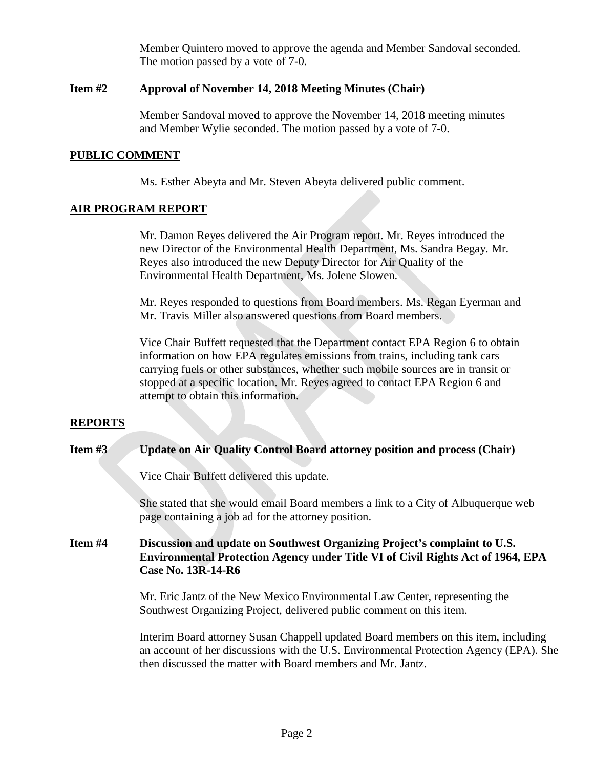Member Quintero moved to approve the agenda and Member Sandoval seconded. The motion passed by a vote of 7-0.

### **Item #2 Approval of November 14, 2018 Meeting Minutes (Chair)**

Member Sandoval moved to approve the November 14, 2018 meeting minutes and Member Wylie seconded. The motion passed by a vote of 7-0.

#### **PUBLIC COMMENT**

Ms. Esther Abeyta and Mr. Steven Abeyta delivered public comment.

#### **AIR PROGRAM REPORT**

Mr. Damon Reyes delivered the Air Program report. Mr. Reyes introduced the new Director of the Environmental Health Department, Ms. Sandra Begay. Mr. Reyes also introduced the new Deputy Director for Air Quality of the Environmental Health Department, Ms. Jolene Slowen.

Mr. Reyes responded to questions from Board members. Ms. Regan Eyerman and Mr. Travis Miller also answered questions from Board members.

Vice Chair Buffett requested that the Department contact EPA Region 6 to obtain information on how EPA regulates emissions from trains, including tank cars carrying fuels or other substances, whether such mobile sources are in transit or stopped at a specific location. Mr. Reyes agreed to contact EPA Region 6 and attempt to obtain this information.

### **REPORTS**

#### **Item #3 Update on Air Quality Control Board attorney position and process (Chair)**

Vice Chair Buffett delivered this update.

She stated that she would email Board members a link to a City of Albuquerque web page containing a job ad for the attorney position.

# **Item #4 Discussion and update on Southwest Organizing Project's complaint to U.S. Environmental Protection Agency under Title VI of Civil Rights Act of 1964, EPA Case No. 13R-14-R6**

Mr. Eric Jantz of the New Mexico Environmental Law Center, representing the Southwest Organizing Project, delivered public comment on this item.

Interim Board attorney Susan Chappell updated Board members on this item, including an account of her discussions with the U.S. Environmental Protection Agency (EPA). She then discussed the matter with Board members and Mr. Jantz.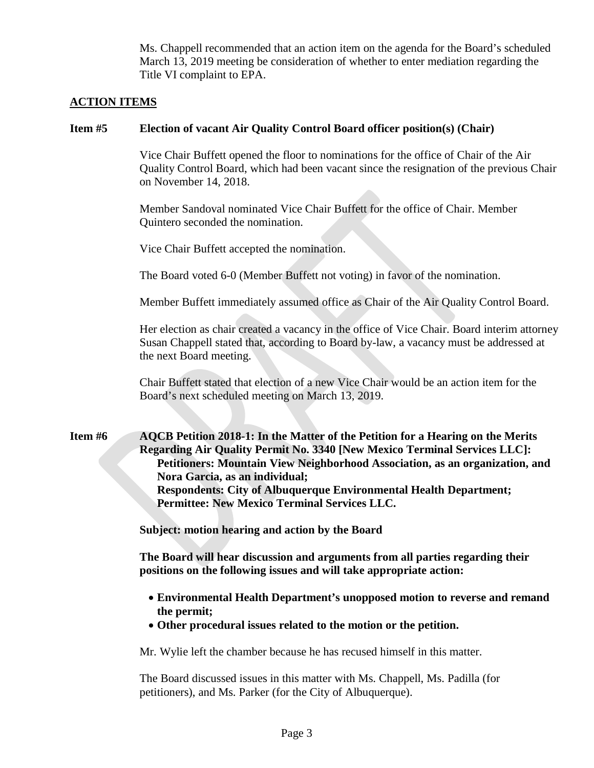Ms. Chappell recommended that an action item on the agenda for the Board's scheduled March 13, 2019 meeting be consideration of whether to enter mediation regarding the Title VI complaint to EPA.

# **ACTION ITEMS**

### **Item #5 Election of vacant Air Quality Control Board officer position(s) (Chair)**

Vice Chair Buffett opened the floor to nominations for the office of Chair of the Air Quality Control Board, which had been vacant since the resignation of the previous Chair on November 14, 2018.

Member Sandoval nominated Vice Chair Buffett for the office of Chair. Member Quintero seconded the nomination.

Vice Chair Buffett accepted the nomination.

The Board voted 6-0 (Member Buffett not voting) in favor of the nomination.

Member Buffett immediately assumed office as Chair of the Air Quality Control Board.

Her election as chair created a vacancy in the office of Vice Chair. Board interim attorney Susan Chappell stated that, according to Board by-law, a vacancy must be addressed at the next Board meeting.

Chair Buffett stated that election of a new Vice Chair would be an action item for the Board's next scheduled meeting on March 13, 2019.

**Item #6 AQCB Petition 2018-1: In the Matter of the Petition for a Hearing on the Merits Regarding Air Quality Permit No. 3340 [New Mexico Terminal Services LLC]: Petitioners: Mountain View Neighborhood Association, as an organization, and Nora Garcia, as an individual; Respondents: City of Albuquerque Environmental Health Department; Permittee: New Mexico Terminal Services LLC.**

**Subject: motion hearing and action by the Board**

**The Board will hear discussion and arguments from all parties regarding their positions on the following issues and will take appropriate action:**

- **Environmental Health Department's unopposed motion to reverse and remand the permit;**
- **Other procedural issues related to the motion or the petition.**

Mr. Wylie left the chamber because he has recused himself in this matter.

The Board discussed issues in this matter with Ms. Chappell, Ms. Padilla (for petitioners), and Ms. Parker (for the City of Albuquerque).